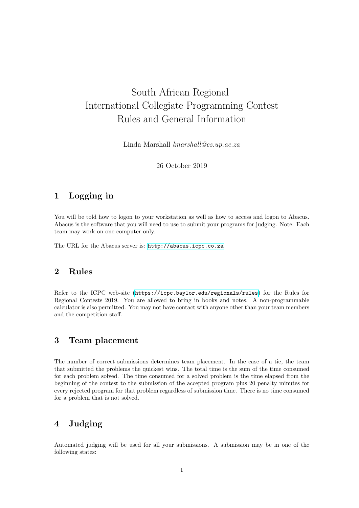# South African Regional International Collegiate Programming Contest Rules and General Information

Linda Marshall lmarshall@cs.up.ac.za

26 October 2019

#### 1 Logging in

You will be told how to logon to your workstation as well as how to access and logon to Abacus. Abacus is the software that you will need to use to submit your programs for judging. Note: Each team may work on one computer only.

The URL for the Abacus server is: <http://abacus.icpc.co.za>

#### 2 Rules

Refer to the ICPC web-site (<https://icpc.baylor.edu/regionals/rules>) for the Rules for Regional Contests 2019. You are allowed to bring in books and notes. A non-programmable calculator is also permitted. You may not have contact with anyone other than your team members and the competition staff.

## 3 Team placement

The number of correct submissions determines team placement. In the case of a tie, the team that submitted the problems the quickest wins. The total time is the sum of the time consumed for each problem solved. The time consumed for a solved problem is the time elapsed from the beginning of the contest to the submission of the accepted program plus 20 penalty minutes for every rejected program for that problem regardless of submission time. There is no time consumed for a problem that is not solved.

## 4 Judging

Automated judging will be used for all your submissions. A submission may be in one of the following states: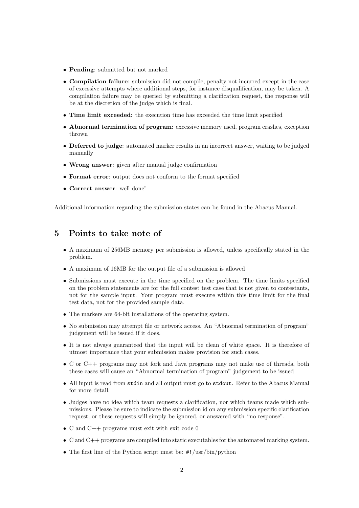- Pending: submitted but not marked
- Compilation failure: submission did not compile, penalty not incurred except in the case of excessive attempts where additional steps, for instance disqualification, may be taken. A compilation failure may be queried by submitting a clarification request, the response will be at the discretion of the judge which is final.
- Time limit exceeded: the execution time has exceeded the time limit specified
- Abnormal termination of program: excessive memory used, program crashes, exception thrown
- Deferred to judge: automated marker results in an incorrect answer, waiting to be judged manually
- Wrong answer: given after manual judge confirmation
- Format error: output does not conform to the format specified
- Correct answer: well done!

Additional information regarding the submission states can be found in the Abacus Manual.

#### 5 Points to take note of

- A maximum of 256MB memory per submission is allowed, unless specifically stated in the problem.
- A maximum of 16MB for the output file of a submission is allowed
- Submissions must execute in the time specified on the problem. The time limits specified on the problem statements are for the full contest test case that is not given to contestants, not for the sample input. Your program must execute within this time limit for the final test data, not for the provided sample data.
- The markers are 64-bit installations of the operating system.
- No submission may attempt file or network access. An "Abnormal termination of program" judgement will be issued if it does.
- It is not always guaranteed that the input will be clean of white space. It is therefore of utmost importance that your submission makes provision for such cases.
- C or C++ programs may not fork and Java programs may not make use of threads, both these cases will cause an "Abnormal termination of program" judgement to be issued
- All input is read from stdin and all output must go to stdout. Refer to the Abacus Manual for more detail.
- Judges have no idea which team requests a clarification, nor which teams made which submissions. Please be sure to indicate the submission id on any submission specific clarification request, or these requests will simply be ignored, or answered with "no response".
- C and  $C_{++}$  programs must exit with exit code 0
- C and C++ programs are compiled into static executables for the automated marking system.
- The first line of the Python script must be: #!/usr/bin/python